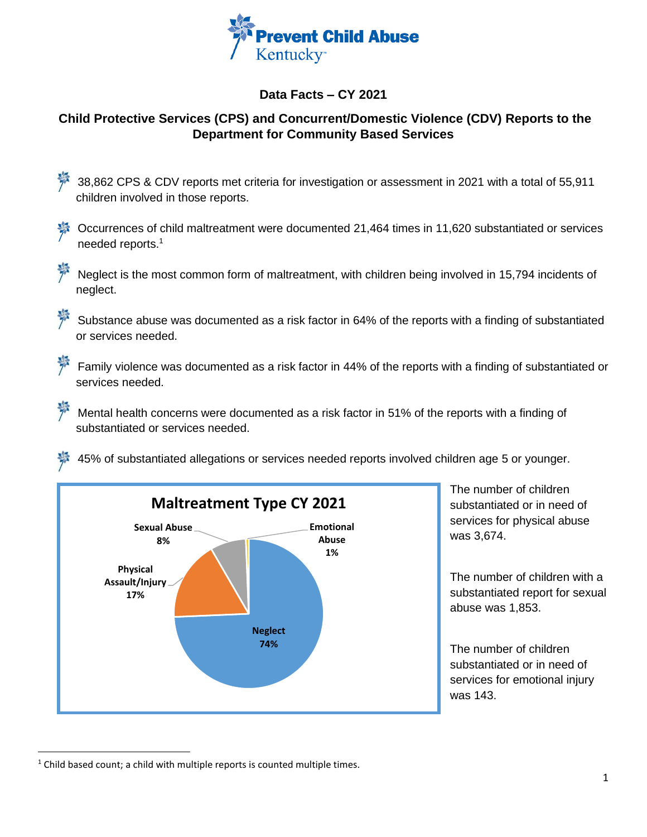

## **Data Facts – CY 2021**

## **Child Protective Services (CPS) and Concurrent/Domestic Violence (CDV) Reports to the Department for Community Based Services**

- 38,862 CPS & CDV reports met criteria for investigation or assessment in 2021 with a total of 55,911 children involved in those reports.
- Occurrences of child maltreatment were documented 21,464 times in 11,620 substantiated or services needed reports. 1
- Neglect is the most common form of maltreatment, with children being involved in 15,794 incidents of neglect.

Substance abuse was documented as a risk factor in 64% of the reports with a finding of substantiated or services needed.

- Family violence was documented as a risk factor in 44% of the reports with a finding of substantiated or services needed.
- Mental health concerns were documented as a risk factor in 51% of the reports with a finding of substantiated or services needed.

45% of substantiated allegations or services needed reports involved children age 5 or younger.



The number of children substantiated or in need of services for physical abuse was 3,674.

The number of children with a substantiated report for sexual abuse was 1,853.

The number of children substantiated or in need of services for emotional injury was 143.

 $1$  Child based count; a child with multiple reports is counted multiple times.